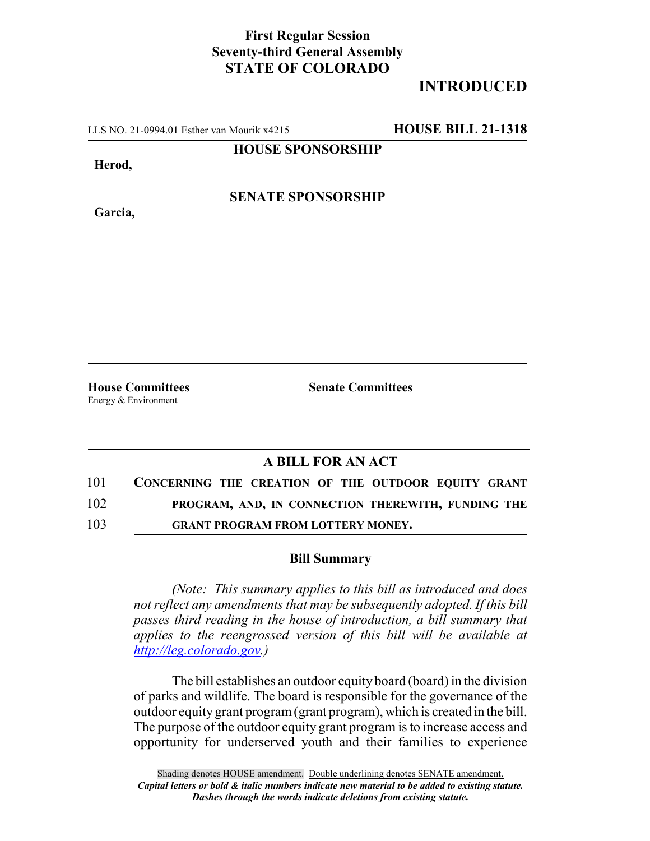## **First Regular Session Seventy-third General Assembly STATE OF COLORADO**

## **INTRODUCED**

LLS NO. 21-0994.01 Esther van Mourik x4215 **HOUSE BILL 21-1318**

**HOUSE SPONSORSHIP**

**Herod,**

**Garcia,**

**SENATE SPONSORSHIP**

Energy & Environment

**House Committees Senate Committees**

## **A BILL FOR AN ACT**

| 101 | CONCERNING THE CREATION OF THE OUTDOOR EQUITY GRANT |
|-----|-----------------------------------------------------|
| 102 | PROGRAM, AND, IN CONNECTION THEREWITH, FUNDING THE  |
| 103 | <b>GRANT PROGRAM FROM LOTTERY MONEY.</b>            |

## **Bill Summary**

*(Note: This summary applies to this bill as introduced and does not reflect any amendments that may be subsequently adopted. If this bill passes third reading in the house of introduction, a bill summary that applies to the reengrossed version of this bill will be available at http://leg.colorado.gov.)*

The bill establishes an outdoor equity board (board) in the division of parks and wildlife. The board is responsible for the governance of the outdoor equity grant program (grant program), which is created in the bill. The purpose of the outdoor equity grant program is to increase access and opportunity for underserved youth and their families to experience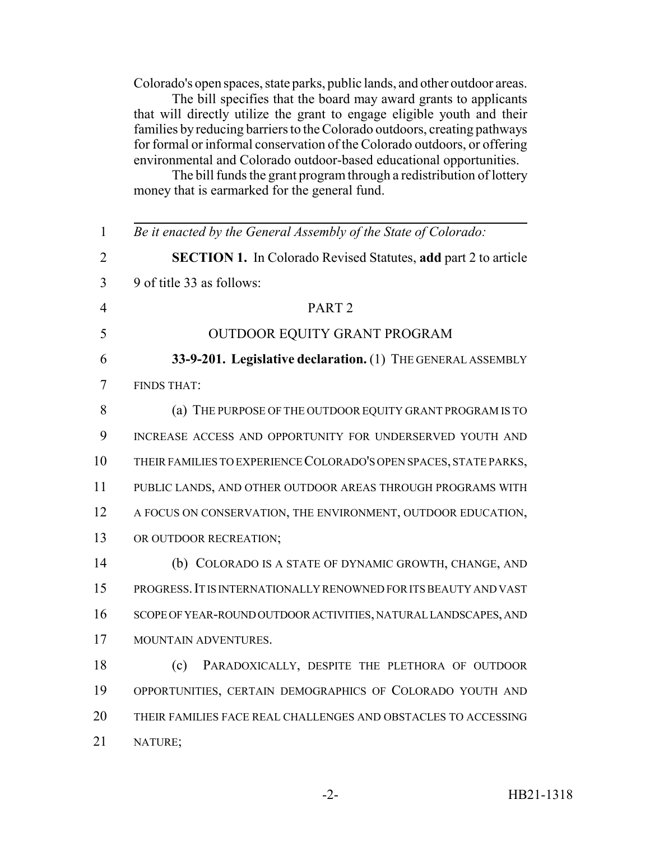Colorado's open spaces, state parks, public lands, and other outdoor areas.

The bill specifies that the board may award grants to applicants that will directly utilize the grant to engage eligible youth and their families by reducing barriers to the Colorado outdoors, creating pathways for formal or informal conservation of the Colorado outdoors, or offering environmental and Colorado outdoor-based educational opportunities.

The bill funds the grant program through a redistribution of lottery money that is earmarked for the general fund.

| $\mathbf{1}$   | Be it enacted by the General Assembly of the State of Colorado:       |
|----------------|-----------------------------------------------------------------------|
| $\overline{2}$ | <b>SECTION 1.</b> In Colorado Revised Statutes, add part 2 to article |
| 3              | 9 of title 33 as follows:                                             |
| $\overline{4}$ | PART <sub>2</sub>                                                     |
| 5              | OUTDOOR EQUITY GRANT PROGRAM                                          |
| 6              | 33-9-201. Legislative declaration. (1) THE GENERAL ASSEMBLY           |
| 7              | <b>FINDS THAT:</b>                                                    |
| 8              | (a) THE PURPOSE OF THE OUTDOOR EQUITY GRANT PROGRAM IS TO             |
| 9              | INCREASE ACCESS AND OPPORTUNITY FOR UNDERSERVED YOUTH AND             |
| 10             | THEIR FAMILIES TO EXPERIENCE COLORADO'S OPEN SPACES, STATE PARKS,     |
| 11             | PUBLIC LANDS, AND OTHER OUTDOOR AREAS THROUGH PROGRAMS WITH           |
| 12             | A FOCUS ON CONSERVATION, THE ENVIRONMENT, OUTDOOR EDUCATION,          |
| 13             | OR OUTDOOR RECREATION;                                                |
| 14             | (b) COLORADO IS A STATE OF DYNAMIC GROWTH, CHANGE, AND                |
| 15             | PROGRESS. IT IS INTERNATIONALLY RENOWNED FOR ITS BEAUTY AND VAST      |
| 16             | SCOPE OF YEAR-ROUND OUTDOOR ACTIVITIES, NATURAL LANDSCAPES, AND       |
| 17             | MOUNTAIN ADVENTURES.                                                  |
| 18             | PARADOXICALLY, DESPITE THE PLETHORA OF OUTDOOR<br>(c)                 |
| 19             | OPPORTUNITIES, CERTAIN DEMOGRAPHICS OF COLORADO YOUTH AND             |
| 20             | THEIR FAMILIES FACE REAL CHALLENGES AND OBSTACLES TO ACCESSING        |
| 21             | NATURE;                                                               |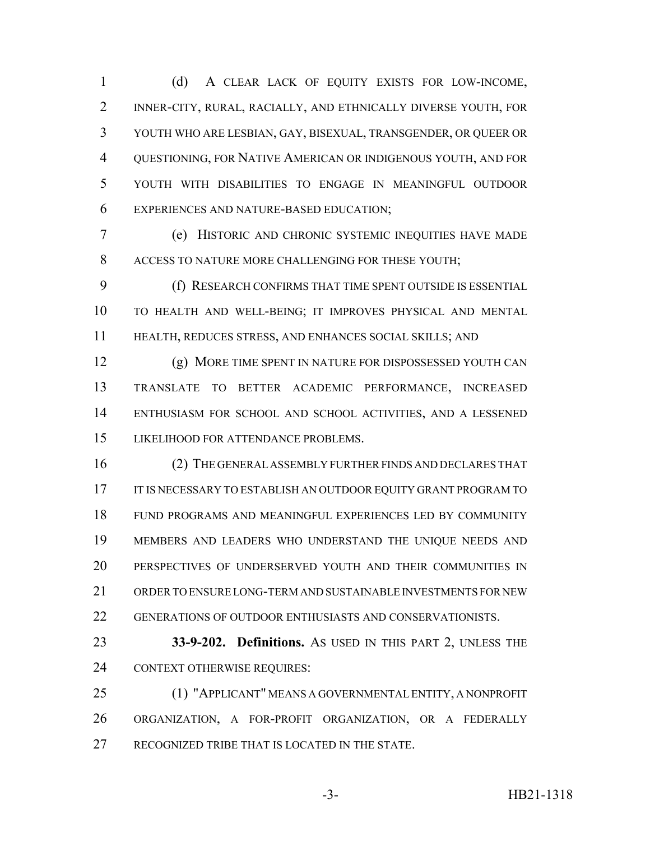(d) A CLEAR LACK OF EQUITY EXISTS FOR LOW-INCOME, INNER-CITY, RURAL, RACIALLY, AND ETHNICALLY DIVERSE YOUTH, FOR YOUTH WHO ARE LESBIAN, GAY, BISEXUAL, TRANSGENDER, OR QUEER OR QUESTIONING, FOR NATIVE AMERICAN OR INDIGENOUS YOUTH, AND FOR YOUTH WITH DISABILITIES TO ENGAGE IN MEANINGFUL OUTDOOR EXPERIENCES AND NATURE-BASED EDUCATION;

 (e) HISTORIC AND CHRONIC SYSTEMIC INEQUITIES HAVE MADE ACCESS TO NATURE MORE CHALLENGING FOR THESE YOUTH;

 (f) RESEARCH CONFIRMS THAT TIME SPENT OUTSIDE IS ESSENTIAL TO HEALTH AND WELL-BEING; IT IMPROVES PHYSICAL AND MENTAL HEALTH, REDUCES STRESS, AND ENHANCES SOCIAL SKILLS; AND

 (g) MORE TIME SPENT IN NATURE FOR DISPOSSESSED YOUTH CAN TRANSLATE TO BETTER ACADEMIC PERFORMANCE, INCREASED ENTHUSIASM FOR SCHOOL AND SCHOOL ACTIVITIES, AND A LESSENED LIKELIHOOD FOR ATTENDANCE PROBLEMS.

 (2) THE GENERAL ASSEMBLY FURTHER FINDS AND DECLARES THAT 17 IT IS NECESSARY TO ESTABLISH AN OUTDOOR EQUITY GRANT PROGRAM TO FUND PROGRAMS AND MEANINGFUL EXPERIENCES LED BY COMMUNITY MEMBERS AND LEADERS WHO UNDERSTAND THE UNIQUE NEEDS AND PERSPECTIVES OF UNDERSERVED YOUTH AND THEIR COMMUNITIES IN ORDER TO ENSURE LONG-TERM AND SUSTAINABLE INVESTMENTS FOR NEW GENERATIONS OF OUTDOOR ENTHUSIASTS AND CONSERVATIONISTS.

 **33-9-202. Definitions.** AS USED IN THIS PART 2, UNLESS THE CONTEXT OTHERWISE REQUIRES:

 (1) "APPLICANT" MEANS A GOVERNMENTAL ENTITY, A NONPROFIT ORGANIZATION, A FOR-PROFIT ORGANIZATION, OR A FEDERALLY RECOGNIZED TRIBE THAT IS LOCATED IN THE STATE.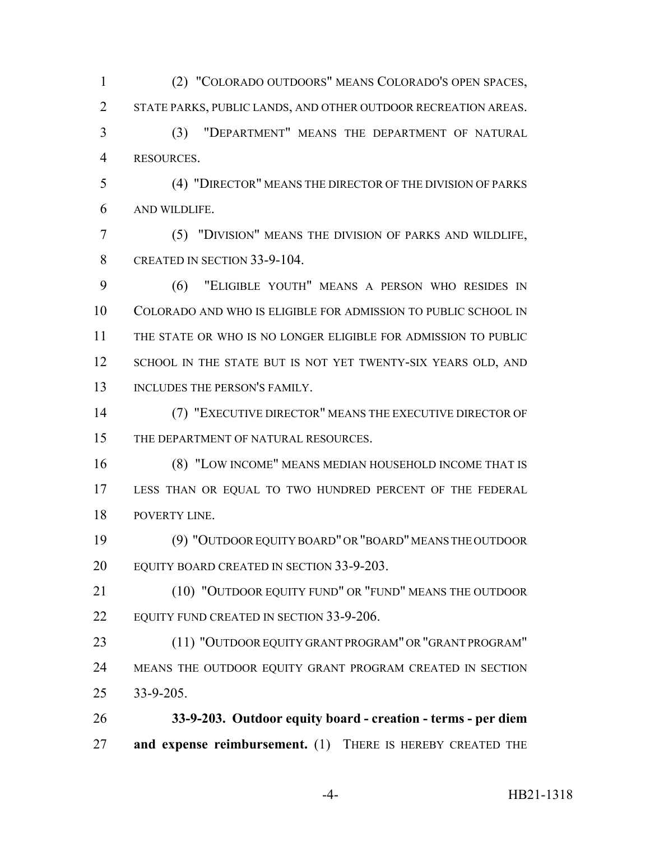(2) "COLORADO OUTDOORS" MEANS COLORADO'S OPEN SPACES, STATE PARKS, PUBLIC LANDS, AND OTHER OUTDOOR RECREATION AREAS. (3) "DEPARTMENT" MEANS THE DEPARTMENT OF NATURAL RESOURCES. (4) "DIRECTOR" MEANS THE DIRECTOR OF THE DIVISION OF PARKS AND WILDLIFE. (5) "DIVISION" MEANS THE DIVISION OF PARKS AND WILDLIFE, 8 CREATED IN SECTION 33-9-104. (6) "ELIGIBLE YOUTH" MEANS A PERSON WHO RESIDES IN COLORADO AND WHO IS ELIGIBLE FOR ADMISSION TO PUBLIC SCHOOL IN THE STATE OR WHO IS NO LONGER ELIGIBLE FOR ADMISSION TO PUBLIC 12 SCHOOL IN THE STATE BUT IS NOT YET TWENTY-SIX YEARS OLD, AND 13 INCLUDES THE PERSON'S FAMILY.

 (7) "EXECUTIVE DIRECTOR" MEANS THE EXECUTIVE DIRECTOR OF 15 THE DEPARTMENT OF NATURAL RESOURCES.

 (8) "LOW INCOME" MEANS MEDIAN HOUSEHOLD INCOME THAT IS LESS THAN OR EQUAL TO TWO HUNDRED PERCENT OF THE FEDERAL POVERTY LINE.

 (9) "OUTDOOR EQUITY BOARD" OR "BOARD" MEANS THE OUTDOOR EQUITY BOARD CREATED IN SECTION 33-9-203.

 (10) "OUTDOOR EQUITY FUND" OR "FUND" MEANS THE OUTDOOR 22 EQUITY FUND CREATED IN SECTION 33-9-206.

 (11) "OUTDOOR EQUITY GRANT PROGRAM" OR "GRANT PROGRAM" 24 MEANS THE OUTDOOR EQUITY GRANT PROGRAM CREATED IN SECTION 33-9-205.

 **33-9-203. Outdoor equity board - creation - terms - per diem and expense reimbursement.** (1) THERE IS HEREBY CREATED THE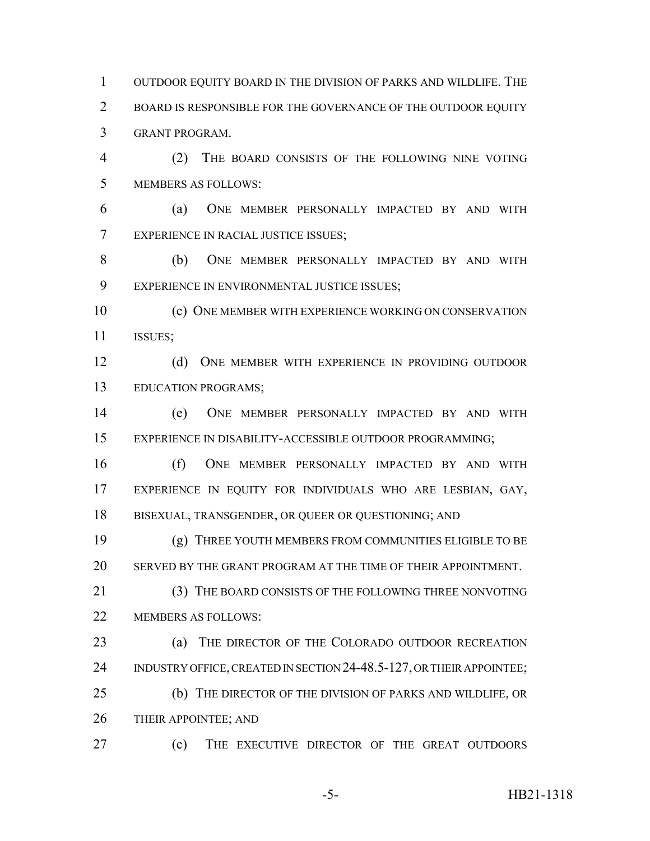OUTDOOR EQUITY BOARD IN THE DIVISION OF PARKS AND WILDLIFE. THE BOARD IS RESPONSIBLE FOR THE GOVERNANCE OF THE OUTDOOR EQUITY GRANT PROGRAM.

 (2) THE BOARD CONSISTS OF THE FOLLOWING NINE VOTING MEMBERS AS FOLLOWS:

 (a) ONE MEMBER PERSONALLY IMPACTED BY AND WITH EXPERIENCE IN RACIAL JUSTICE ISSUES;

 (b) ONE MEMBER PERSONALLY IMPACTED BY AND WITH EXPERIENCE IN ENVIRONMENTAL JUSTICE ISSUES;

 (c) ONE MEMBER WITH EXPERIENCE WORKING ON CONSERVATION ISSUES;

 (d) ONE MEMBER WITH EXPERIENCE IN PROVIDING OUTDOOR EDUCATION PROGRAMS;

 (e) ONE MEMBER PERSONALLY IMPACTED BY AND WITH EXPERIENCE IN DISABILITY-ACCESSIBLE OUTDOOR PROGRAMMING;

 (f) ONE MEMBER PERSONALLY IMPACTED BY AND WITH EXPERIENCE IN EQUITY FOR INDIVIDUALS WHO ARE LESBIAN, GAY, BISEXUAL, TRANSGENDER, OR QUEER OR QUESTIONING; AND

 (g) THREE YOUTH MEMBERS FROM COMMUNITIES ELIGIBLE TO BE SERVED BY THE GRANT PROGRAM AT THE TIME OF THEIR APPOINTMENT.

 (3) THE BOARD CONSISTS OF THE FOLLOWING THREE NONVOTING MEMBERS AS FOLLOWS:

 (a) THE DIRECTOR OF THE COLORADO OUTDOOR RECREATION 24 INDUSTRY OFFICE, CREATED IN SECTION 24-48.5-127, OR THEIR APPOINTEE; (b) THE DIRECTOR OF THE DIVISION OF PARKS AND WILDLIFE, OR

26 THEIR APPOINTEE; AND

(c) THE EXECUTIVE DIRECTOR OF THE GREAT OUTDOORS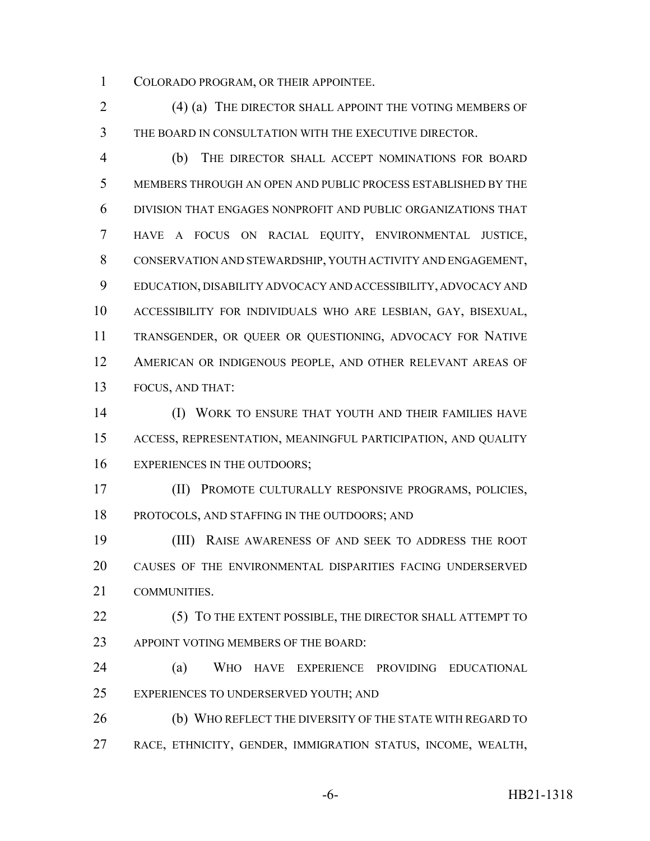COLORADO PROGRAM, OR THEIR APPOINTEE.

2 (4) (a) THE DIRECTOR SHALL APPOINT THE VOTING MEMBERS OF THE BOARD IN CONSULTATION WITH THE EXECUTIVE DIRECTOR.

 (b) THE DIRECTOR SHALL ACCEPT NOMINATIONS FOR BOARD MEMBERS THROUGH AN OPEN AND PUBLIC PROCESS ESTABLISHED BY THE DIVISION THAT ENGAGES NONPROFIT AND PUBLIC ORGANIZATIONS THAT HAVE A FOCUS ON RACIAL EQUITY, ENVIRONMENTAL JUSTICE, CONSERVATION AND STEWARDSHIP, YOUTH ACTIVITY AND ENGAGEMENT, EDUCATION, DISABILITY ADVOCACY AND ACCESSIBILITY, ADVOCACY AND ACCESSIBILITY FOR INDIVIDUALS WHO ARE LESBIAN, GAY, BISEXUAL, TRANSGENDER, OR QUEER OR QUESTIONING, ADVOCACY FOR NATIVE AMERICAN OR INDIGENOUS PEOPLE, AND OTHER RELEVANT AREAS OF FOCUS, AND THAT:

 (I) WORK TO ENSURE THAT YOUTH AND THEIR FAMILIES HAVE ACCESS, REPRESENTATION, MEANINGFUL PARTICIPATION, AND QUALITY 16 EXPERIENCES IN THE OUTDOORS;

 (II) PROMOTE CULTURALLY RESPONSIVE PROGRAMS, POLICIES, PROTOCOLS, AND STAFFING IN THE OUTDOORS; AND

 (III) RAISE AWARENESS OF AND SEEK TO ADDRESS THE ROOT CAUSES OF THE ENVIRONMENTAL DISPARITIES FACING UNDERSERVED COMMUNITIES.

22 (5) TO THE EXTENT POSSIBLE, THE DIRECTOR SHALL ATTEMPT TO 23 APPOINT VOTING MEMBERS OF THE BOARD:

 (a) WHO HAVE EXPERIENCE PROVIDING EDUCATIONAL EXPERIENCES TO UNDERSERVED YOUTH; AND

 (b) WHO REFLECT THE DIVERSITY OF THE STATE WITH REGARD TO RACE, ETHNICITY, GENDER, IMMIGRATION STATUS, INCOME, WEALTH,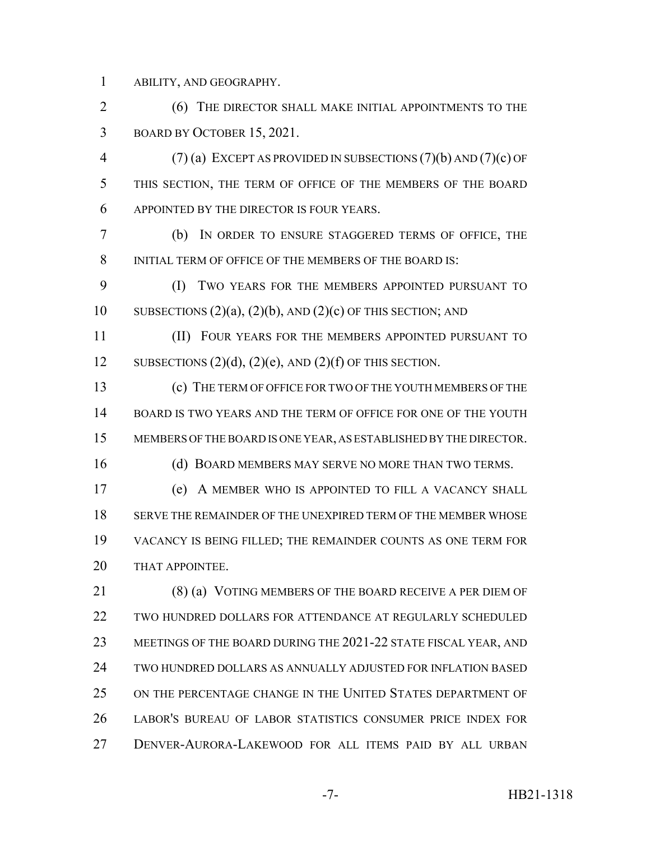ABILITY, AND GEOGRAPHY.

2 (6) THE DIRECTOR SHALL MAKE INITIAL APPOINTMENTS TO THE BOARD BY OCTOBER 15, 2021.

 (7) (a) EXCEPT AS PROVIDED IN SUBSECTIONS (7)(b) AND (7)(c) OF THIS SECTION, THE TERM OF OFFICE OF THE MEMBERS OF THE BOARD APPOINTED BY THE DIRECTOR IS FOUR YEARS.

 (b) IN ORDER TO ENSURE STAGGERED TERMS OF OFFICE, THE 8 INITIAL TERM OF OFFICE OF THE MEMBERS OF THE BOARD IS:

 (I) TWO YEARS FOR THE MEMBERS APPOINTED PURSUANT TO 10 SUBSECTIONS  $(2)(a)$ ,  $(2)(b)$ , AND  $(2)(c)$  OF THIS SECTION; AND

 (II) FOUR YEARS FOR THE MEMBERS APPOINTED PURSUANT TO 12 SUBSECTIONS  $(2)(d)$ ,  $(2)(e)$ , AND  $(2)(f)$  OF THIS SECTION.

 (c) THE TERM OF OFFICE FOR TWO OF THE YOUTH MEMBERS OF THE BOARD IS TWO YEARS AND THE TERM OF OFFICE FOR ONE OF THE YOUTH MEMBERS OF THE BOARD IS ONE YEAR, AS ESTABLISHED BY THE DIRECTOR.

16 (d) BOARD MEMBERS MAY SERVE NO MORE THAN TWO TERMS.

 (e) A MEMBER WHO IS APPOINTED TO FILL A VACANCY SHALL SERVE THE REMAINDER OF THE UNEXPIRED TERM OF THE MEMBER WHOSE VACANCY IS BEING FILLED; THE REMAINDER COUNTS AS ONE TERM FOR 20 THAT APPOINTEE.

21 (8) (a) VOTING MEMBERS OF THE BOARD RECEIVE A PER DIEM OF TWO HUNDRED DOLLARS FOR ATTENDANCE AT REGULARLY SCHEDULED MEETINGS OF THE BOARD DURING THE 2021-22 STATE FISCAL YEAR, AND TWO HUNDRED DOLLARS AS ANNUALLY ADJUSTED FOR INFLATION BASED ON THE PERCENTAGE CHANGE IN THE UNITED STATES DEPARTMENT OF LABOR'S BUREAU OF LABOR STATISTICS CONSUMER PRICE INDEX FOR DENVER-AURORA-LAKEWOOD FOR ALL ITEMS PAID BY ALL URBAN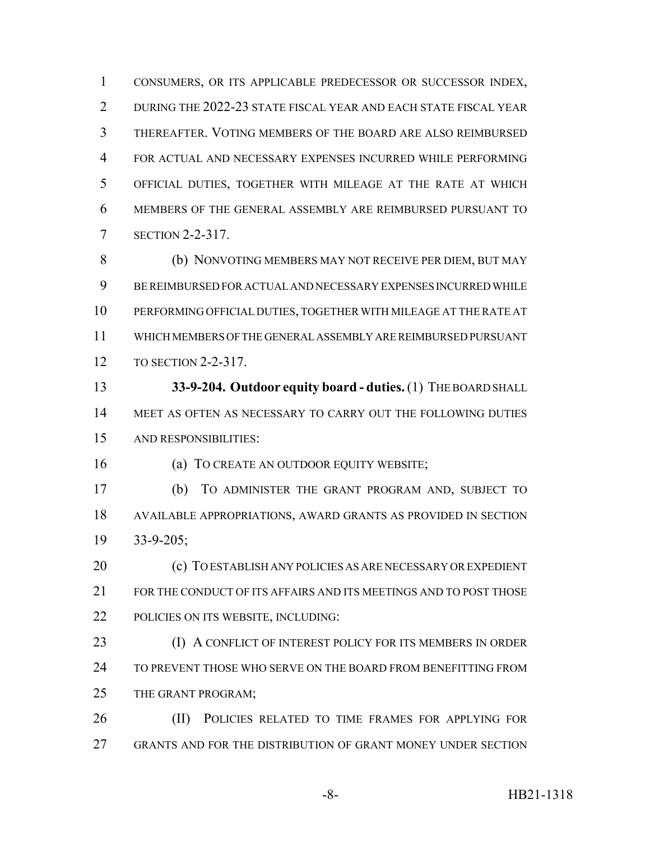CONSUMERS, OR ITS APPLICABLE PREDECESSOR OR SUCCESSOR INDEX, DURING THE 2022-23 STATE FISCAL YEAR AND EACH STATE FISCAL YEAR THEREAFTER. VOTING MEMBERS OF THE BOARD ARE ALSO REIMBURSED FOR ACTUAL AND NECESSARY EXPENSES INCURRED WHILE PERFORMING OFFICIAL DUTIES, TOGETHER WITH MILEAGE AT THE RATE AT WHICH MEMBERS OF THE GENERAL ASSEMBLY ARE REIMBURSED PURSUANT TO SECTION 2-2-317.

 (b) NONVOTING MEMBERS MAY NOT RECEIVE PER DIEM, BUT MAY BE REIMBURSED FOR ACTUAL AND NECESSARY EXPENSES INCURRED WHILE PERFORMING OFFICIAL DUTIES, TOGETHER WITH MILEAGE AT THE RATE AT WHICH MEMBERS OF THE GENERAL ASSEMBLY ARE REIMBURSED PURSUANT TO SECTION 2-2-317.

 **33-9-204. Outdoor equity board - duties.** (1) THE BOARD SHALL MEET AS OFTEN AS NECESSARY TO CARRY OUT THE FOLLOWING DUTIES AND RESPONSIBILITIES:

16 (a) TO CREATE AN OUTDOOR EQUITY WEBSITE;

 (b) TO ADMINISTER THE GRANT PROGRAM AND, SUBJECT TO AVAILABLE APPROPRIATIONS, AWARD GRANTS AS PROVIDED IN SECTION 33-9-205;

 (c) TO ESTABLISH ANY POLICIES AS ARE NECESSARY OR EXPEDIENT FOR THE CONDUCT OF ITS AFFAIRS AND ITS MEETINGS AND TO POST THOSE POLICIES ON ITS WEBSITE, INCLUDING:

23 (I) A CONFLICT OF INTEREST POLICY FOR ITS MEMBERS IN ORDER TO PREVENT THOSE WHO SERVE ON THE BOARD FROM BENEFITTING FROM THE GRANT PROGRAM;

26 (II) POLICIES RELATED TO TIME FRAMES FOR APPLYING FOR GRANTS AND FOR THE DISTRIBUTION OF GRANT MONEY UNDER SECTION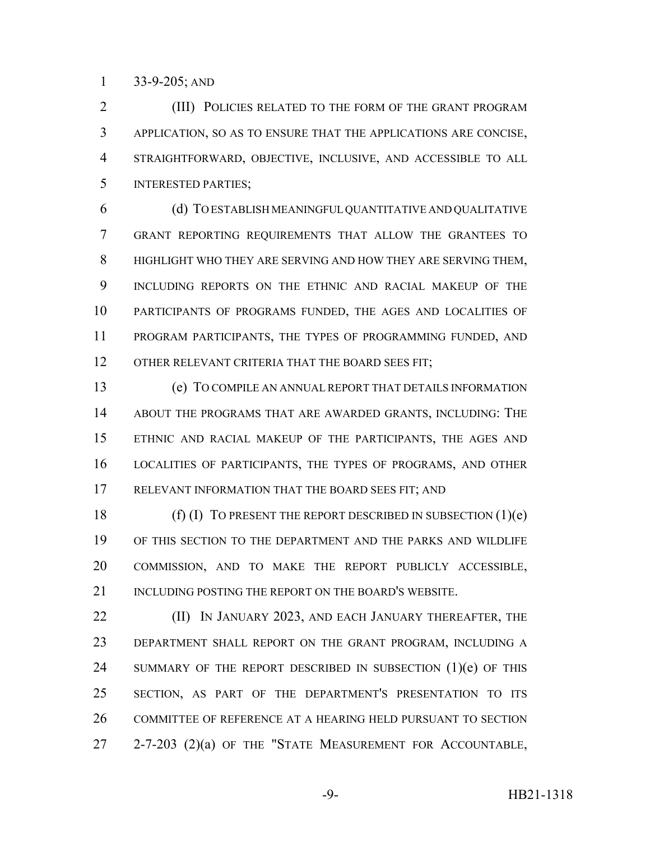33-9-205; AND

2 (III) POLICIES RELATED TO THE FORM OF THE GRANT PROGRAM APPLICATION, SO AS TO ENSURE THAT THE APPLICATIONS ARE CONCISE, STRAIGHTFORWARD, OBJECTIVE, INCLUSIVE, AND ACCESSIBLE TO ALL INTERESTED PARTIES;

 (d) TO ESTABLISH MEANINGFUL QUANTITATIVE AND QUALITATIVE GRANT REPORTING REQUIREMENTS THAT ALLOW THE GRANTEES TO HIGHLIGHT WHO THEY ARE SERVING AND HOW THEY ARE SERVING THEM, INCLUDING REPORTS ON THE ETHNIC AND RACIAL MAKEUP OF THE PARTICIPANTS OF PROGRAMS FUNDED, THE AGES AND LOCALITIES OF PROGRAM PARTICIPANTS, THE TYPES OF PROGRAMMING FUNDED, AND 12 OTHER RELEVANT CRITERIA THAT THE BOARD SEES FIT;

 (e) TO COMPILE AN ANNUAL REPORT THAT DETAILS INFORMATION ABOUT THE PROGRAMS THAT ARE AWARDED GRANTS, INCLUDING: THE ETHNIC AND RACIAL MAKEUP OF THE PARTICIPANTS, THE AGES AND LOCALITIES OF PARTICIPANTS, THE TYPES OF PROGRAMS, AND OTHER RELEVANT INFORMATION THAT THE BOARD SEES FIT; AND

18 (f) (I) TO PRESENT THE REPORT DESCRIBED IN SUBSECTION  $(1)(e)$  OF THIS SECTION TO THE DEPARTMENT AND THE PARKS AND WILDLIFE COMMISSION, AND TO MAKE THE REPORT PUBLICLY ACCESSIBLE, 21 INCLUDING POSTING THE REPORT ON THE BOARD'S WEBSITE.

**(II) IN JANUARY 2023, AND EACH JANUARY THEREAFTER, THE**  DEPARTMENT SHALL REPORT ON THE GRANT PROGRAM, INCLUDING A 24 SUMMARY OF THE REPORT DESCRIBED IN SUBSECTION (1)(e) OF THIS SECTION, AS PART OF THE DEPARTMENT'S PRESENTATION TO ITS COMMITTEE OF REFERENCE AT A HEARING HELD PURSUANT TO SECTION 27 2-7-203 (2)(a) OF THE "STATE MEASUREMENT FOR ACCOUNTABLE,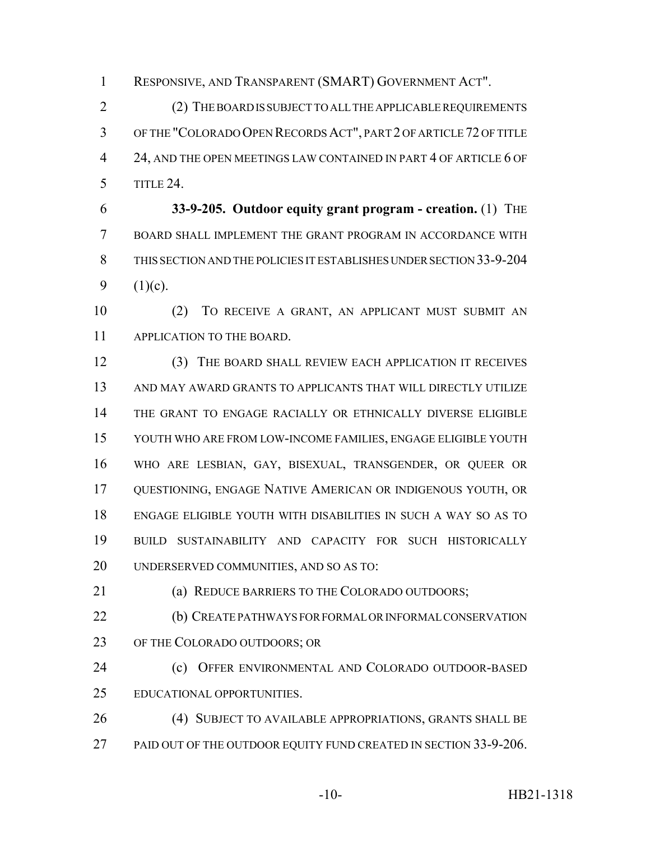RESPONSIVE, AND TRANSPARENT (SMART) GOVERNMENT ACT".

 (2) THE BOARD IS SUBJECT TO ALL THE APPLICABLE REQUIREMENTS OF THE "COLORADO OPEN RECORDS ACT", PART 2 OF ARTICLE 72 OF TITLE 4 24, AND THE OPEN MEETINGS LAW CONTAINED IN PART 4 OF ARTICLE 6 OF TITLE 24.

 **33-9-205. Outdoor equity grant program - creation.** (1) THE BOARD SHALL IMPLEMENT THE GRANT PROGRAM IN ACCORDANCE WITH THIS SECTION AND THE POLICIES IT ESTABLISHES UNDER SECTION 33-9-204 9  $(1)(c)$ .

 (2) TO RECEIVE A GRANT, AN APPLICANT MUST SUBMIT AN APPLICATION TO THE BOARD.

 (3) THE BOARD SHALL REVIEW EACH APPLICATION IT RECEIVES AND MAY AWARD GRANTS TO APPLICANTS THAT WILL DIRECTLY UTILIZE THE GRANT TO ENGAGE RACIALLY OR ETHNICALLY DIVERSE ELIGIBLE YOUTH WHO ARE FROM LOW-INCOME FAMILIES, ENGAGE ELIGIBLE YOUTH WHO ARE LESBIAN, GAY, BISEXUAL, TRANSGENDER, OR QUEER OR QUESTIONING, ENGAGE NATIVE AMERICAN OR INDIGENOUS YOUTH, OR ENGAGE ELIGIBLE YOUTH WITH DISABILITIES IN SUCH A WAY SO AS TO BUILD SUSTAINABILITY AND CAPACITY FOR SUCH HISTORICALLY UNDERSERVED COMMUNITIES, AND SO AS TO:

(a) REDUCE BARRIERS TO THE COLORADO OUTDOORS;

 (b) CREATE PATHWAYS FOR FORMAL OR INFORMAL CONSERVATION 23 OF THE COLORADO OUTDOORS; OR

 (c) OFFER ENVIRONMENTAL AND COLORADO OUTDOOR-BASED EDUCATIONAL OPPORTUNITIES.

 (4) SUBJECT TO AVAILABLE APPROPRIATIONS, GRANTS SHALL BE 27 PAID OUT OF THE OUTDOOR EQUITY FUND CREATED IN SECTION 33-9-206.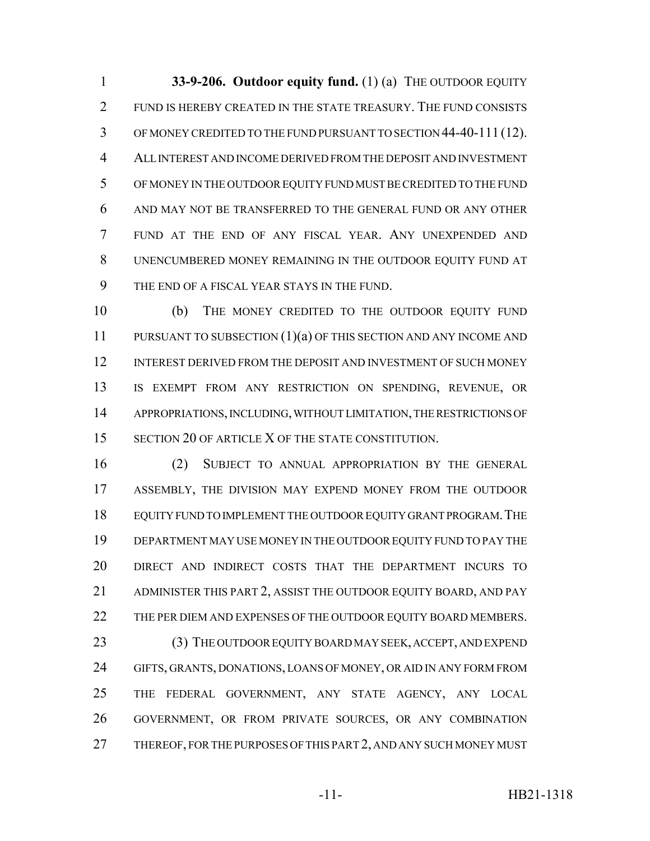**33-9-206. Outdoor equity fund.** (1) (a) THE OUTDOOR EQUITY FUND IS HEREBY CREATED IN THE STATE TREASURY. THE FUND CONSISTS OF MONEY CREDITED TO THE FUND PURSUANT TO SECTION 44-40-111 (12). ALL INTEREST AND INCOME DERIVED FROM THE DEPOSIT AND INVESTMENT OF MONEY IN THE OUTDOOR EQUITY FUND MUST BE CREDITED TO THE FUND AND MAY NOT BE TRANSFERRED TO THE GENERAL FUND OR ANY OTHER FUND AT THE END OF ANY FISCAL YEAR. ANY UNEXPENDED AND UNENCUMBERED MONEY REMAINING IN THE OUTDOOR EQUITY FUND AT THE END OF A FISCAL YEAR STAYS IN THE FUND.

 (b) THE MONEY CREDITED TO THE OUTDOOR EQUITY FUND PURSUANT TO SUBSECTION (1)(a) OF THIS SECTION AND ANY INCOME AND INTEREST DERIVED FROM THE DEPOSIT AND INVESTMENT OF SUCH MONEY IS EXEMPT FROM ANY RESTRICTION ON SPENDING, REVENUE, OR APPROPRIATIONS, INCLUDING, WITHOUT LIMITATION, THE RESTRICTIONS OF 15 SECTION 20 OF ARTICLE X OF THE STATE CONSTITUTION.

 (2) SUBJECT TO ANNUAL APPROPRIATION BY THE GENERAL ASSEMBLY, THE DIVISION MAY EXPEND MONEY FROM THE OUTDOOR EQUITY FUND TO IMPLEMENT THE OUTDOOR EQUITY GRANT PROGRAM.THE DEPARTMENT MAY USE MONEY IN THE OUTDOOR EQUITY FUND TO PAY THE DIRECT AND INDIRECT COSTS THAT THE DEPARTMENT INCURS TO ADMINISTER THIS PART 2, ASSIST THE OUTDOOR EQUITY BOARD, AND PAY 22 THE PER DIEM AND EXPENSES OF THE OUTDOOR EQUITY BOARD MEMBERS.

23 (3) THE OUTDOOR EQUITY BOARD MAY SEEK, ACCEPT, AND EXPEND GIFTS, GRANTS, DONATIONS, LOANS OF MONEY, OR AID IN ANY FORM FROM THE FEDERAL GOVERNMENT, ANY STATE AGENCY, ANY LOCAL GOVERNMENT, OR FROM PRIVATE SOURCES, OR ANY COMBINATION 27 THEREOF, FOR THE PURPOSES OF THIS PART 2, AND ANY SUCH MONEY MUST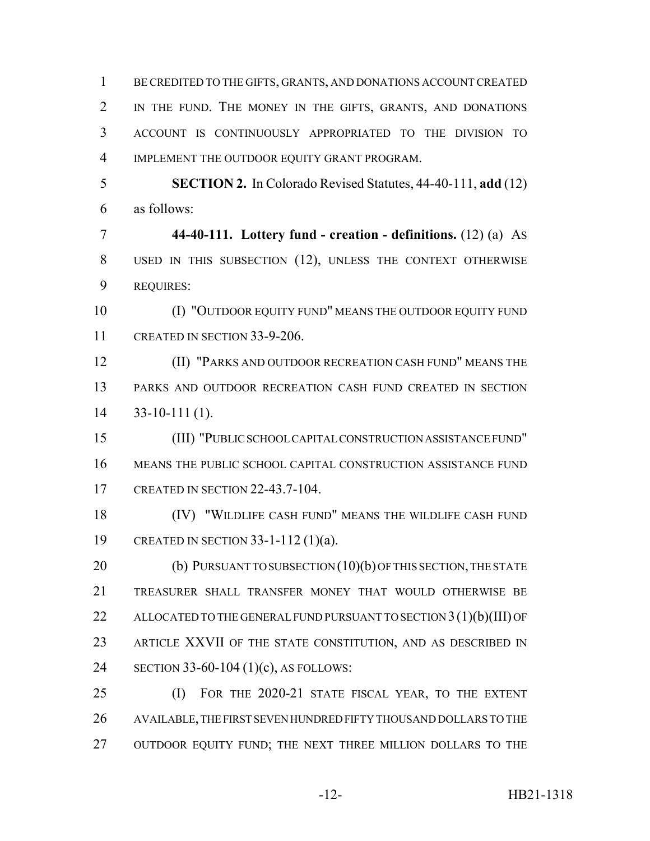BE CREDITED TO THE GIFTS, GRANTS, AND DONATIONS ACCOUNT CREATED IN THE FUND. THE MONEY IN THE GIFTS, GRANTS, AND DONATIONS ACCOUNT IS CONTINUOUSLY APPROPRIATED TO THE DIVISION TO IMPLEMENT THE OUTDOOR EQUITY GRANT PROGRAM. **SECTION 2.** In Colorado Revised Statutes, 44-40-111, **add** (12) as follows: **44-40-111. Lottery fund - creation - definitions.** (12) (a) AS USED IN THIS SUBSECTION (12), UNLESS THE CONTEXT OTHERWISE REQUIRES: 10 (I) "OUTDOOR EQUITY FUND" MEANS THE OUTDOOR EQUITY FUND CREATED IN SECTION 33-9-206. (II) "PARKS AND OUTDOOR RECREATION CASH FUND" MEANS THE PARKS AND OUTDOOR RECREATION CASH FUND CREATED IN SECTION 33-10-111 (1). (III) "PUBLIC SCHOOL CAPITAL CONSTRUCTION ASSISTANCE FUND"

 MEANS THE PUBLIC SCHOOL CAPITAL CONSTRUCTION ASSISTANCE FUND CREATED IN SECTION 22-43.7-104.

 (IV) "WILDLIFE CASH FUND" MEANS THE WILDLIFE CASH FUND CREATED IN SECTION 33-1-112 (1)(a).

20 (b) PURSUANT TO SUBSECTION (10)(b) OF THIS SECTION, THE STATE TREASURER SHALL TRANSFER MONEY THAT WOULD OTHERWISE BE 22 ALLOCATED TO THE GENERAL FUND PURSUANT TO SECTION 3(1)(b)(III) OF ARTICLE XXVII OF THE STATE CONSTITUTION, AND AS DESCRIBED IN SECTION 33-60-104 (1)(c), AS FOLLOWS:

 (I) FOR THE 2020-21 STATE FISCAL YEAR, TO THE EXTENT AVAILABLE, THE FIRST SEVEN HUNDRED FIFTY THOUSAND DOLLARS TO THE 27 OUTDOOR EQUITY FUND; THE NEXT THREE MILLION DOLLARS TO THE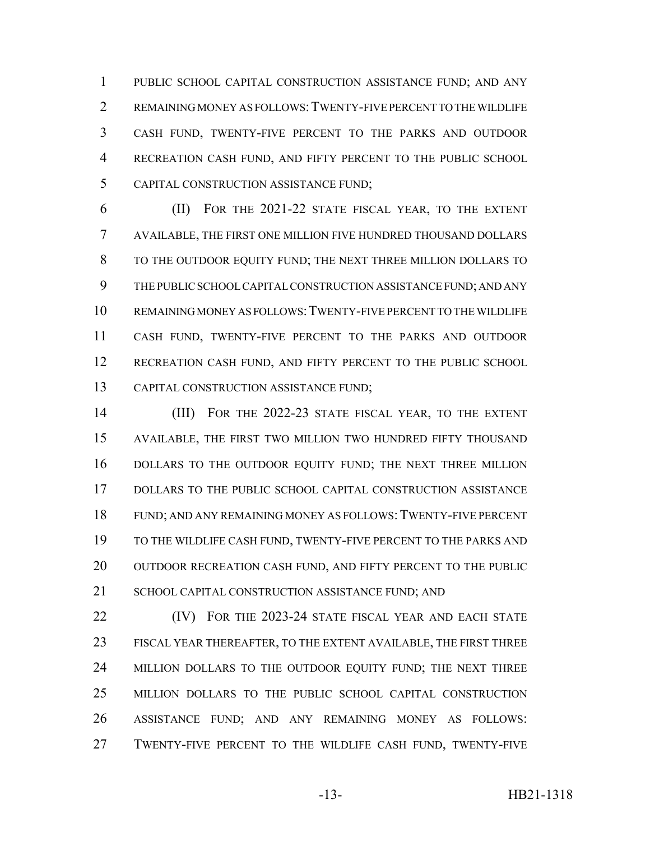PUBLIC SCHOOL CAPITAL CONSTRUCTION ASSISTANCE FUND; AND ANY REMAINING MONEY AS FOLLOWS:TWENTY-FIVE PERCENT TO THE WILDLIFE CASH FUND, TWENTY-FIVE PERCENT TO THE PARKS AND OUTDOOR RECREATION CASH FUND, AND FIFTY PERCENT TO THE PUBLIC SCHOOL CAPITAL CONSTRUCTION ASSISTANCE FUND;

 (II) FOR THE 2021-22 STATE FISCAL YEAR, TO THE EXTENT AVAILABLE, THE FIRST ONE MILLION FIVE HUNDRED THOUSAND DOLLARS TO THE OUTDOOR EQUITY FUND; THE NEXT THREE MILLION DOLLARS TO THE PUBLIC SCHOOL CAPITAL CONSTRUCTION ASSISTANCE FUND; AND ANY REMAINING MONEY AS FOLLOWS:TWENTY-FIVE PERCENT TO THE WILDLIFE CASH FUND, TWENTY-FIVE PERCENT TO THE PARKS AND OUTDOOR RECREATION CASH FUND, AND FIFTY PERCENT TO THE PUBLIC SCHOOL CAPITAL CONSTRUCTION ASSISTANCE FUND;

 (III) FOR THE 2022-23 STATE FISCAL YEAR, TO THE EXTENT AVAILABLE, THE FIRST TWO MILLION TWO HUNDRED FIFTY THOUSAND DOLLARS TO THE OUTDOOR EQUITY FUND; THE NEXT THREE MILLION DOLLARS TO THE PUBLIC SCHOOL CAPITAL CONSTRUCTION ASSISTANCE FUND; AND ANY REMAINING MONEY AS FOLLOWS:TWENTY-FIVE PERCENT TO THE WILDLIFE CASH FUND, TWENTY-FIVE PERCENT TO THE PARKS AND 20 OUTDOOR RECREATION CASH FUND, AND FIFTY PERCENT TO THE PUBLIC 21 SCHOOL CAPITAL CONSTRUCTION ASSISTANCE FUND: AND

**(IV)** FOR THE 2023-24 STATE FISCAL YEAR AND EACH STATE FISCAL YEAR THEREAFTER, TO THE EXTENT AVAILABLE, THE FIRST THREE 24 MILLION DOLLARS TO THE OUTDOOR EQUITY FUND; THE NEXT THREE MILLION DOLLARS TO THE PUBLIC SCHOOL CAPITAL CONSTRUCTION ASSISTANCE FUND; AND ANY REMAINING MONEY AS FOLLOWS: TWENTY-FIVE PERCENT TO THE WILDLIFE CASH FUND, TWENTY-FIVE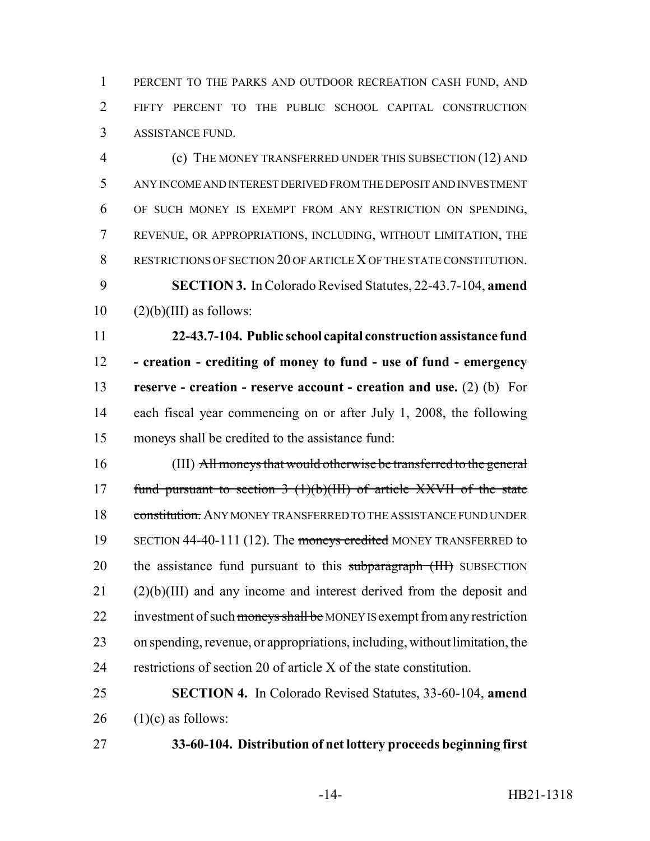1 PERCENT TO THE PARKS AND OUTDOOR RECREATION CASH FUND, AND FIFTY PERCENT TO THE PUBLIC SCHOOL CAPITAL CONSTRUCTION ASSISTANCE FUND.

 (c) THE MONEY TRANSFERRED UNDER THIS SUBSECTION (12) AND ANY INCOME AND INTEREST DERIVED FROM THE DEPOSIT AND INVESTMENT OF SUCH MONEY IS EXEMPT FROM ANY RESTRICTION ON SPENDING, REVENUE, OR APPROPRIATIONS, INCLUDING, WITHOUT LIMITATION, THE RESTRICTIONS OF SECTION 20 OF ARTICLE X OF THE STATE CONSTITUTION. **SECTION 3.** In Colorado Revised Statutes, 22-43.7-104, **amend**  $10 \qquad (2)(b)(III)$  as follows:

 **22-43.7-104. Public school capital construction assistance fund - creation - crediting of money to fund - use of fund - emergency reserve - creation - reserve account - creation and use.** (2) (b) For each fiscal year commencing on or after July 1, 2008, the following moneys shall be credited to the assistance fund:

 (III) All moneys that would otherwise be transferred to the general 17 fund pursuant to section  $3(1)(b)(III)$  of article XXVII of the state 18 constitution. ANY MONEY TRANSFERRED TO THE ASSISTANCE FUND UNDER 19 SECTION 44-40-111 (12). The moneys credited MONEY TRANSFERRED to 20 the assistance fund pursuant to this subparagraph (III) SUBSECTION (2)(b)(III) and any income and interest derived from the deposit and 22 investment of such moneys shall be MONEY IS exempt from any restriction on spending, revenue, or appropriations, including, without limitation, the restrictions of section 20 of article X of the state constitution.

 **SECTION 4.** In Colorado Revised Statutes, 33-60-104, **amend** (1)(c) as follows:

**33-60-104. Distribution of net lottery proceeds beginning first**